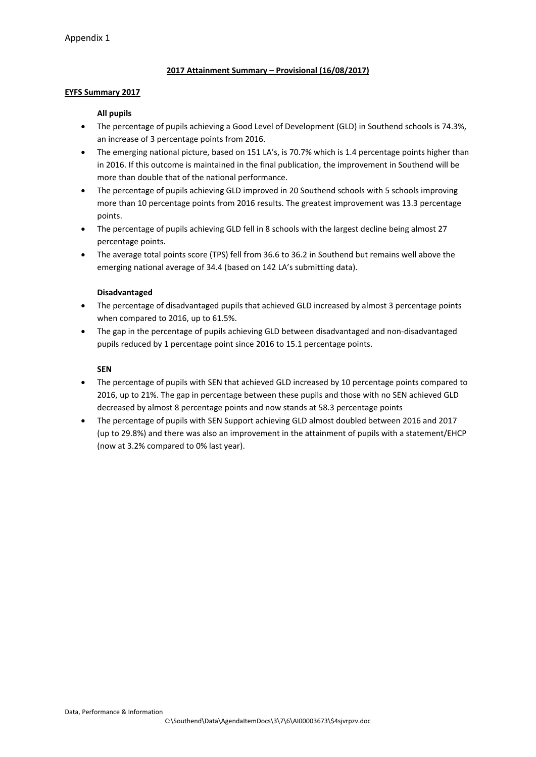# **2017 Attainment Summary – Provisional (16/08/2017)**

#### **EYFS Summary 2017**

### **All pupils**

- The percentage of pupils achieving a Good Level of Development (GLD) in Southend schools is 74.3%, an increase of 3 percentage points from 2016.
- The emerging national picture, based on 151 LA's, is 70.7% which is 1.4 percentage points higher than in 2016. If this outcome is maintained in the final publication, the improvement in Southend will be more than double that of the national performance.
- The percentage of pupils achieving GLD improved in 20 Southend schools with 5 schools improving more than 10 percentage points from 2016 results. The greatest improvement was 13.3 percentage points.
- The percentage of pupils achieving GLD fell in 8 schools with the largest decline being almost 27 percentage points.
- The average total points score (TPS) fell from 36.6 to 36.2 in Southend but remains well above the emerging national average of 34.4 (based on 142 LA's submitting data).

### **Disadvantaged**

- The percentage of disadvantaged pupils that achieved GLD increased by almost 3 percentage points when compared to 2016, up to 61.5%.
- The gap in the percentage of pupils achieving GLD between disadvantaged and non-disadvantaged pupils reduced by 1 percentage point since 2016 to 15.1 percentage points.

### **SEN**

- The percentage of pupils with SEN that achieved GLD increased by 10 percentage points compared to 2016, up to 21%. The gap in percentage between these pupils and those with no SEN achieved GLD decreased by almost 8 percentage points and now stands at 58.3 percentage points
- The percentage of pupils with SEN Support achieving GLD almost doubled between 2016 and 2017 (up to 29.8%) and there was also an improvement in the attainment of pupils with a statement/EHCP (now at 3.2% compared to 0% last year).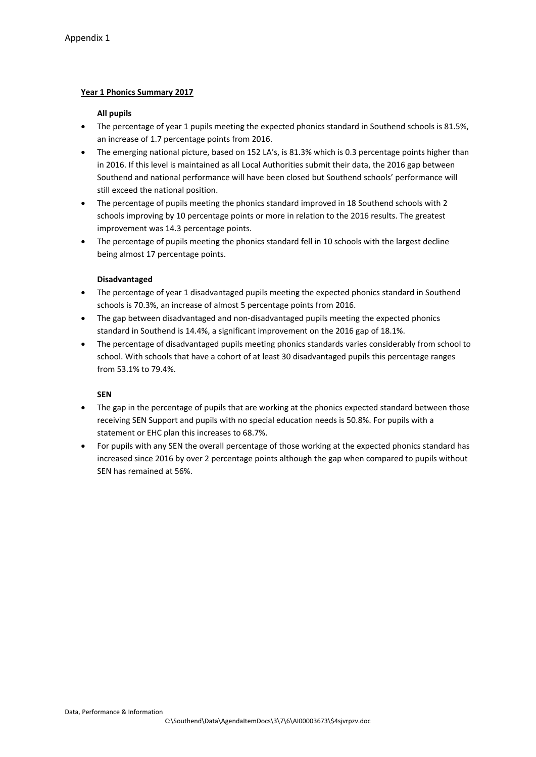# **Year 1 Phonics Summary 2017**

### **All pupils**

- The percentage of year 1 pupils meeting the expected phonics standard in Southend schools is 81.5%, an increase of 1.7 percentage points from 2016.
- The emerging national picture, based on 152 LA's, is 81.3% which is 0.3 percentage points higher than in 2016. If this level is maintained as all Local Authorities submit their data, the 2016 gap between Southend and national performance will have been closed but Southend schools' performance will still exceed the national position.
- The percentage of pupils meeting the phonics standard improved in 18 Southend schools with 2 schools improving by 10 percentage points or more in relation to the 2016 results. The greatest improvement was 14.3 percentage points.
- The percentage of pupils meeting the phonics standard fell in 10 schools with the largest decline being almost 17 percentage points.

# **Disadvantaged**

- The percentage of year 1 disadvantaged pupils meeting the expected phonics standard in Southend schools is 70.3%, an increase of almost 5 percentage points from 2016.
- The gap between disadvantaged and non-disadvantaged pupils meeting the expected phonics standard in Southend is 14.4%, a significant improvement on the 2016 gap of 18.1%.
- The percentage of disadvantaged pupils meeting phonics standards varies considerably from school to school. With schools that have a cohort of at least 30 disadvantaged pupils this percentage ranges from 53.1% to 79.4%.

# **SEN**

- The gap in the percentage of pupils that are working at the phonics expected standard between those receiving SEN Support and pupils with no special education needs is 50.8%. For pupils with a statement or EHC plan this increases to 68.7%.
- For pupils with any SEN the overall percentage of those working at the expected phonics standard has increased since 2016 by over 2 percentage points although the gap when compared to pupils without SEN has remained at 56%.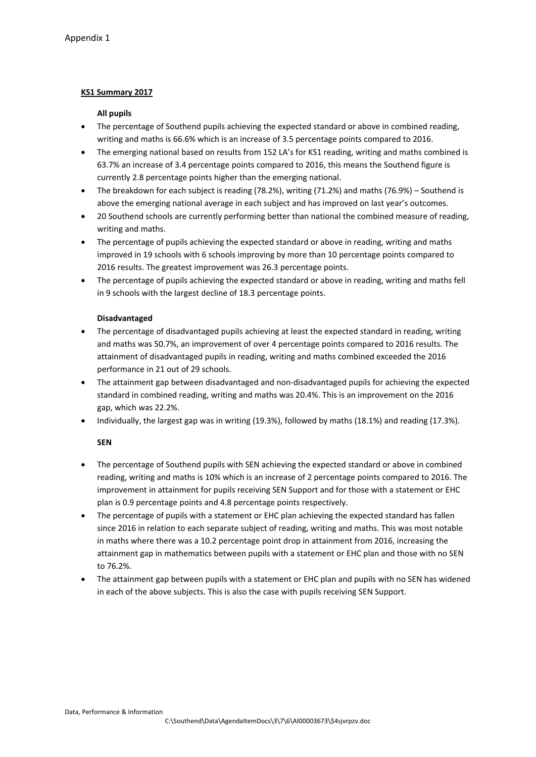### **KS1 Summary 2017**

#### **All pupils**

- The percentage of Southend pupils achieving the expected standard or above in combined reading, writing and maths is 66.6% which is an increase of 3.5 percentage points compared to 2016.
- The emerging national based on results from 152 LA's for KS1 reading, writing and maths combined is 63.7% an increase of 3.4 percentage points compared to 2016, this means the Southend figure is currently 2.8 percentage points higher than the emerging national.
- The breakdown for each subject is reading (78.2%), writing (71.2%) and maths (76.9%) Southend is above the emerging national average in each subject and has improved on last year's outcomes.
- 20 Southend schools are currently performing better than national the combined measure of reading, writing and maths.
- The percentage of pupils achieving the expected standard or above in reading, writing and maths improved in 19 schools with 6 schools improving by more than 10 percentage points compared to 2016 results. The greatest improvement was 26.3 percentage points.
- The percentage of pupils achieving the expected standard or above in reading, writing and maths fell in 9 schools with the largest decline of 18.3 percentage points.

### **Disadvantaged**

- The percentage of disadvantaged pupils achieving at least the expected standard in reading, writing and maths was 50.7%, an improvement of over 4 percentage points compared to 2016 results. The attainment of disadvantaged pupils in reading, writing and maths combined exceeded the 2016 performance in 21 out of 29 schools.
- The attainment gap between disadvantaged and non-disadvantaged pupils for achieving the expected standard in combined reading, writing and maths was 20.4%. This is an improvement on the 2016 gap, which was 22.2%.
- Individually, the largest gap was in writing (19.3%), followed by maths (18.1%) and reading (17.3%).

# **SEN**

- The percentage of Southend pupils with SEN achieving the expected standard or above in combined reading, writing and maths is 10% which is an increase of 2 percentage points compared to 2016. The improvement in attainment for pupils receiving SEN Support and for those with a statement or EHC plan is 0.9 percentage points and 4.8 percentage points respectively.
- The percentage of pupils with a statement or EHC plan achieving the expected standard has fallen since 2016 in relation to each separate subject of reading, writing and maths. This was most notable in maths where there was a 10.2 percentage point drop in attainment from 2016, increasing the attainment gap in mathematics between pupils with a statement or EHC plan and those with no SEN to 76.2%.
- The attainment gap between pupils with a statement or EHC plan and pupils with no SEN has widened in each of the above subjects. This is also the case with pupils receiving SEN Support.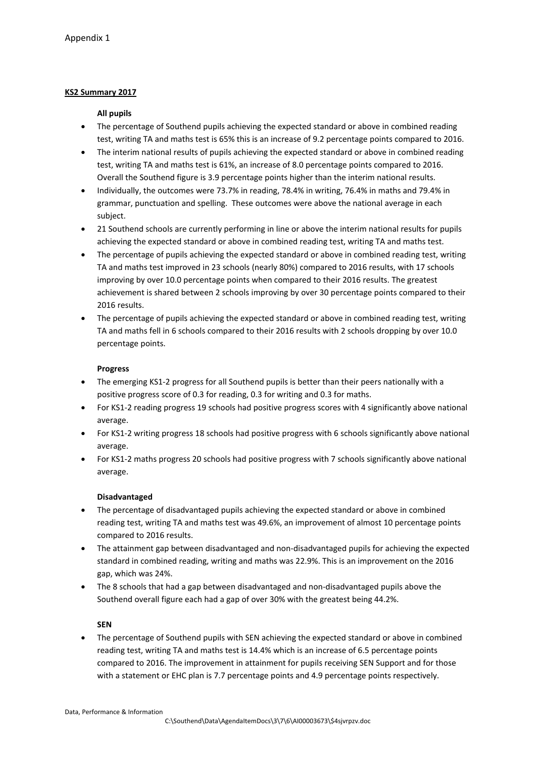# **KS2 Summary 2017**

### **All pupils**

- The percentage of Southend pupils achieving the expected standard or above in combined reading test, writing TA and maths test is 65% this is an increase of 9.2 percentage points compared to 2016.
- The interim national results of pupils achieving the expected standard or above in combined reading test, writing TA and maths test is 61%, an increase of 8.0 percentage points compared to 2016. Overall the Southend figure is 3.9 percentage points higher than the interim national results.
- Individually, the outcomes were 73.7% in reading, 78.4% in writing, 76.4% in maths and 79.4% in grammar, punctuation and spelling. These outcomes were above the national average in each subject.
- 21 Southend schools are currently performing in line or above the interim national results for pupils achieving the expected standard or above in combined reading test, writing TA and maths test.
- The percentage of pupils achieving the expected standard or above in combined reading test, writing TA and maths test improved in 23 schools (nearly 80%) compared to 2016 results, with 17 schools improving by over 10.0 percentage points when compared to their 2016 results. The greatest achievement is shared between 2 schools improving by over 30 percentage points compared to their 2016 results.
- The percentage of pupils achieving the expected standard or above in combined reading test, writing TA and maths fell in 6 schools compared to their 2016 results with 2 schools dropping by over 10.0 percentage points.

# **Progress**

- The emerging KS1-2 progress for all Southend pupils is better than their peers nationally with a positive progress score of 0.3 for reading, 0.3 for writing and 0.3 for maths.
- For KS1-2 reading progress 19 schools had positive progress scores with 4 significantly above national average.
- For KS1-2 writing progress 18 schools had positive progress with 6 schools significantly above national average.
- For KS1-2 maths progress 20 schools had positive progress with 7 schools significantly above national average.

# **Disadvantaged**

- The percentage of disadvantaged pupils achieving the expected standard or above in combined reading test, writing TA and maths test was 49.6%, an improvement of almost 10 percentage points compared to 2016 results.
- The attainment gap between disadvantaged and non-disadvantaged pupils for achieving the expected standard in combined reading, writing and maths was 22.9%. This is an improvement on the 2016 gap, which was 24%.
- The 8 schools that had a gap between disadvantaged and non-disadvantaged pupils above the Southend overall figure each had a gap of over 30% with the greatest being 44.2%.

# **SEN**

 The percentage of Southend pupils with SEN achieving the expected standard or above in combined reading test, writing TA and maths test is 14.4% which is an increase of 6.5 percentage points compared to 2016. The improvement in attainment for pupils receiving SEN Support and for those with a statement or EHC plan is 7.7 percentage points and 4.9 percentage points respectively.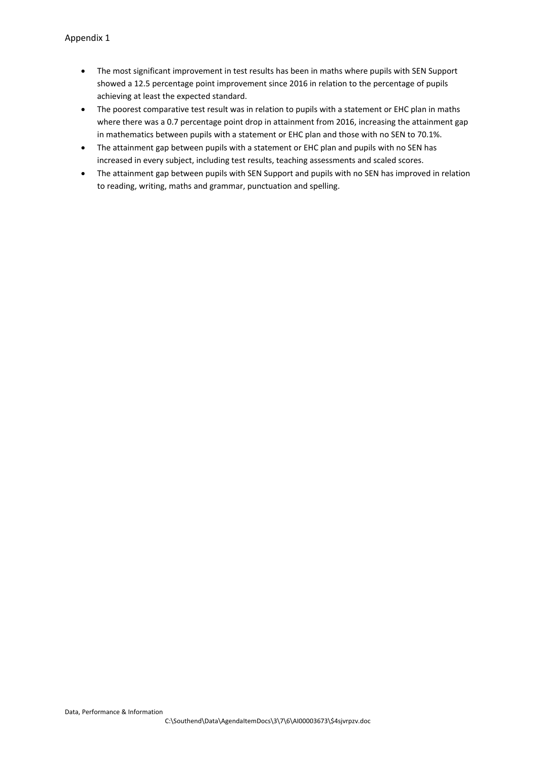- The most significant improvement in test results has been in maths where pupils with SEN Support showed a 12.5 percentage point improvement since 2016 in relation to the percentage of pupils achieving at least the expected standard.
- The poorest comparative test result was in relation to pupils with a statement or EHC plan in maths where there was a 0.7 percentage point drop in attainment from 2016, increasing the attainment gap in mathematics between pupils with a statement or EHC plan and those with no SEN to 70.1%.
- The attainment gap between pupils with a statement or EHC plan and pupils with no SEN has increased in every subject, including test results, teaching assessments and scaled scores.
- The attainment gap between pupils with SEN Support and pupils with no SEN has improved in relation to reading, writing, maths and grammar, punctuation and spelling.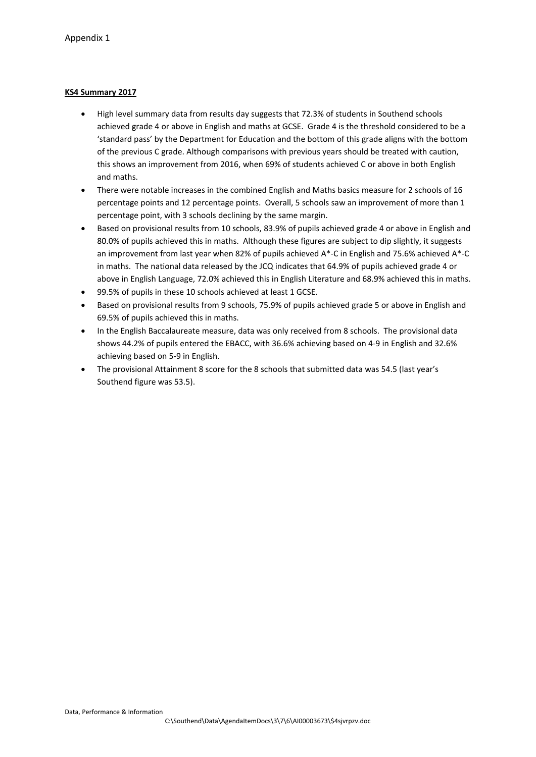# **KS4 Summary 2017**

- High level summary data from results day suggests that 72.3% of students in Southend schools achieved grade 4 or above in English and maths at GCSE. Grade 4 is the threshold considered to be a 'standard pass' by the Department for Education and the bottom of this grade aligns with the bottom of the previous C grade. Although comparisons with previous years should be treated with caution, this shows an improvement from 2016, when 69% of students achieved C or above in both English and maths.
- There were notable increases in the combined English and Maths basics measure for 2 schools of 16 percentage points and 12 percentage points. Overall, 5 schools saw an improvement of more than 1 percentage point, with 3 schools declining by the same margin.
- Based on provisional results from 10 schools, 83.9% of pupils achieved grade 4 or above in English and 80.0% of pupils achieved this in maths. Although these figures are subject to dip slightly, it suggests an improvement from last year when 82% of pupils achieved A\*-C in English and 75.6% achieved A\*-C in maths. The national data released by the JCQ indicates that 64.9% of pupils achieved grade 4 or above in English Language, 72.0% achieved this in English Literature and 68.9% achieved this in maths.
- 99.5% of pupils in these 10 schools achieved at least 1 GCSE.
- Based on provisional results from 9 schools, 75.9% of pupils achieved grade 5 or above in English and 69.5% of pupils achieved this in maths.
- In the English Baccalaureate measure, data was only received from 8 schools. The provisional data shows 44.2% of pupils entered the EBACC, with 36.6% achieving based on 4-9 in English and 32.6% achieving based on 5-9 in English.
- The provisional Attainment 8 score for the 8 schools that submitted data was 54.5 (last year's Southend figure was 53.5).